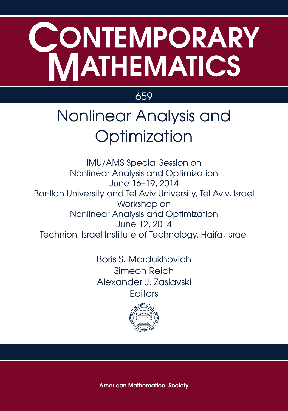## CONTEMPORARY **MATHEMATICS**

#### 659

## Nonlinear Analysis and **Optimization**

IMU/AMS Special Session on Nonlinear Analysis and Optimization June 16–19, 2014 Bar-Ilan University and Tel Aviv University, Tel Aviv, Israel Workshop on Nonlinear Analysis and Optimization June 12, 2014 Technion–Israel Institute of Technology, Haifa, Israel

> Boris S. Mordukhovich Simeon Reich Alexander J. Zaslavski **Editors**



**American Mathematical Society**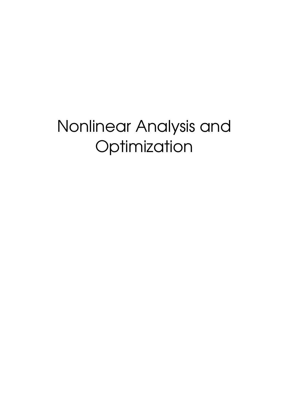### Nonlinear Analysis and **Optimization**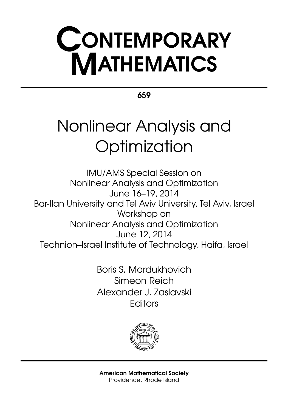# **CONTEMPORARY<br>MATHEMATICS**

659

## Nonlinear Analysis and **Optimization**

IMU/AMS Special Session on Nonlinear Analysis and Optimization June 16–19, 2014 Bar-Ilan University and Tel Aviv University, Tel Aviv, Israel Workshop on Nonlinear Analysis and Optimization June 12, 2014 Technion–Israel Institute of Technology, Haifa, Israel

> Boris S. Mordukhovich Simeon Reich Alexander J. Zaslavski **Editors**



American Mathematical Society Providence, Rhode Island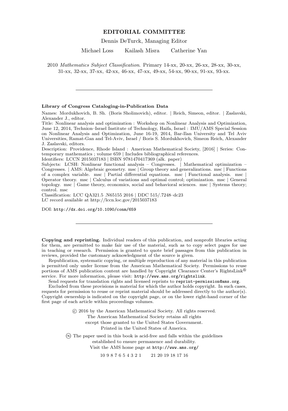#### **EDITORIAL COMMITTEE**

Dennis DeTurck, Managing Editor

Michael Loss Kailash Misra Catherine Yan

2010 Mathematics Subject Classification. Primary 14-xx, 20-xx, 26-xx, 28-xx, 30-xx, 31-xx, 32-xx, 37-xx, 42-xx, 46-xx, 47-xx, 49-xx, 54-xx, 90-xx, 91-xx, 93-xx.

#### **Library of Congress Cataloging-in-Publication Data**

Names: Mordukhovich, B. Sh. (Boris Sholimovich), editor. | Reich, Simeon, editor. | Zaslavski, Alexander J., editor.

Title: Nonlinear analysis and optimization : Workshop on Nonlinear Analysis and Optimization, June 12, 2014, Technion–Israel Institute of Technology, Haifa, Israel : IMU/AMS Special Session on Nonlinear Analysis and Optimization, June 16-19, 2014, Bar-Ilan University and Tel Aviv Universities, Ramat-Gan and Tel-Aviv, Israel / Boris S. Mordukhovich, Simeon Reich, Alexander J. Zaslavski, editors.

Description: Providence, Rhode Island : American Mathematical Society, [2016] | Series: Contemporary mathematics ; volume 659 | Includes bibliographical references.

Identifiers: LCCN 2015037183 | ISBN 9781470417369 (alk. paper)

Subjects: LCSH: Nonlinear functional analysis – Congresses. | Mathematical optimization – Congresses. | AMS: Algebraic geometry. msc | Group theory and generalizations. msc | Functions of a complex variable. msc | Partial differential equations. msc | Functional analysis. msc | Operator theory. msc | Calculus of variations and optimal control; optimization. msc | General topology. msc | Game theory, economics, social and behavioral sciences. msc | Systems theory; control. msc

Classification: LCC QA321.5 .N65155 2016 | DDC 515/.7248–dc23 LC record available at http://lccn.loc.gov/2015037183

DOI: <http://dx.doi.org/10.1090/conm/659>

**Copying and reprinting.** Individual readers of this publication, and nonprofit libraries acting for them, are permitted to make fair use of the material, such as to copy select pages for use in teaching or research. Permission is granted to quote brief passages from this publication in reviews, provided the customary acknowledgment of the source is given.

Republication, systematic copying, or multiple reproduction of any material in this publication is permitted only under license from the American Mathematical Society. Permissions to reuse portions of AMS publication content are handled by Copyright Clearance Center's RightsLink<sup>®</sup> service. For more information, please visit: http://www.ams.org/rightslink.

Send requests for translation rights and licensed reprints to reprint-permission@ams.org.

Excluded from these provisions is material for which the author holds copyright. In such cases, requests for permission to reuse or reprint material should be addressed directly to the author(s). Copyright ownership is indicated on the copyright page, or on the lower right-hand corner of the first page of each article within proceedings volumes.

-c 2016 by the American Mathematical Society. All rights reserved.

The American Mathematical Society retains all rights

except those granted to the United States Government.

Printed in the United States of America.

 $\otimes$  The paper used in this book is acid-free and falls within the guidelines established to ensure permanence and durability. Visit the AMS home page at http://www.ams.org/

10 9 8 7 6 5 4 3 2 1 21 20 19 18 17 16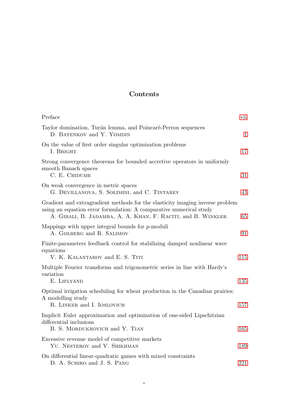#### **Contents**

| Preface                                                                                                                                                                                                             | vii          |
|---------------------------------------------------------------------------------------------------------------------------------------------------------------------------------------------------------------------|--------------|
| Taylor domination, Turán lemma, and Poincaré-Perron sequences<br>D. BATENKOV and Y. YOMDIN                                                                                                                          | $\mathbf{1}$ |
| On the value of first order singular optimization problems<br>I. BRIGHT                                                                                                                                             | 17           |
| Strong convergence theorems for bounded accretive operators in uniformly<br>smooth Banach spaces<br>C. E. CHIDUME                                                                                                   | 31           |
| On weak convergence in metric spaces<br>G. DEVILLANOVA, S. SOLIMINI, and C. TINTAREV                                                                                                                                | 43           |
| Gradient and extragradient methods for the elasticity imaging inverse problem<br>using an equation error formulation: A comparative numerical study<br>A. GIBALI, B. JADAMBA, A. A. KHAN, F. RACITI, and B. WINKLER | 65           |
| Mappings with upper integral bounds for $p$ -moduli<br>A. GOLBERG and R. SALIMOV                                                                                                                                    | 91           |
| Finite-parameters feedback control for stabilizing damped nonlinear wave<br>equations<br>V. K. KALANTAROV and E. S. TITI                                                                                            | 115          |
| Multiple Fourier transforms and trigonometric series in line with Hardy's<br>variation<br>E. LIFLYAND                                                                                                               | 135          |
| Optimal irrigation scheduling for wheat production in the Canadian prairies:<br>A modelling study<br>R. LINKER and I. IOSLOVICH                                                                                     | 157          |
| Implicit Euler approximation and optimization of one-sided Lipschitzian<br>differential inclusions<br>B. S. MORDUKHOVICH and Y. TIAN                                                                                | 165          |
| Excessive revenue model of competitive markets<br>YU. NESTEROV and V. SHIKHMAN                                                                                                                                      | 189          |
| On differential linear-quadratic games with mixed constraints<br>D. A. SCHIRO and J. S. PANG                                                                                                                        | 221          |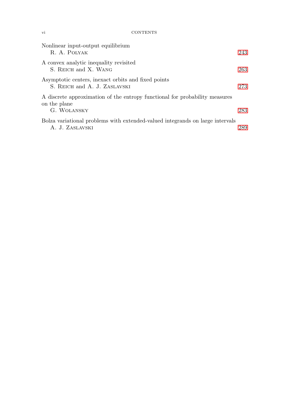vi CONTENTS

| Nonlinear input-output equilibrium<br>R. A. POLYAK                                                         | 243 |
|------------------------------------------------------------------------------------------------------------|-----|
| A convex analytic inequality revisited<br>S. REICH and X. WANG                                             | 263 |
| Asymptotic centers, inexact orbits and fixed points<br>S. REICH and A. J. ZASLAVSKI                        | 273 |
| A discrete approximation of the entropy functional for probability measures<br>on the plane<br>G. WOLANSKY | 283 |
| Bolza variational problems with extended-valued integrands on large intervals<br>A. J. ZASLAVSKI           | 289 |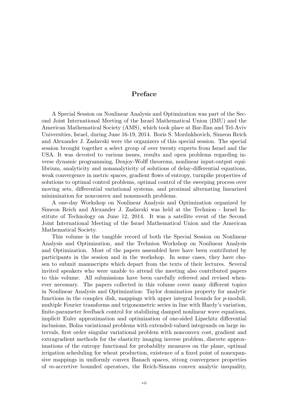#### **Preface**

<span id="page-7-0"></span>A Special Session on Nonlinear Analysis and Optimization was part of the Second Joint International Meeting of the Israel Mathematical Union (IMU) and the American Mathematical Society (AMS), which took place at Bar-Ilan and Tel-Aviv Universities, Israel, during June 16-19, 2014. Boris S. Mordukhovich, Simeon Reich and Alexander J. Zaslavski were the organizers of this special session. The special session brought together a select group of over twenty experts from Israel and the USA. It was devoted to various issues, results and open problems regarding inverse dynamic programming, Denjoy-Wolff theorems, nonlinear input-output equilibrium, analyticity and nonanalyticity of solutions of delay-differential equations, weak convergence in metric spaces, gradient flows of entropy, turnpike properties of solutions to optimal control problems, optimal control of the sweeping process over moving sets, differential variational systems, and proximal alternating linearized minimization for nonconvex and nonsmooth problems.

A one-day Workshop on Nonlinear Analysis and Optimization organized by Simeon Reich and Alexander J. Zaslavski was held at the Technion - Israel Institute of Technology on June 12, 2014. It was a satellite event of the Second Joint International Meeting of the Israel Mathematical Union and the American Mathematical Society.

This volume is the tangible record of both the Special Session on Nonlinear Analysis and Optimization, and the Technion Workshop on Nonlinear Analysis and Optimization. Most of the papers assembled here have been contributed by participants in the session and in the workshop. In some cases, they have chosen to submit manuscripts which depart from the texts of their lectures. Several invited speakers who were unable to attend the meeting also contributed papers to this volume. All submissions have been carefully refereed and revised whenever necessary. The papers collected in this volume cover many different topics in Nonlinear Analysis and Optimization: Taylor domination property for analytic functions in the complex disk, mappings with upper integral bounds for p-moduli, multiple Fourier transforms and trigonometric series in line with Hardy's variation, finite-parameter feedback control for stabilizing damped nonlinear wave equations, implicit Euler approximation and optimization of one-sided Lipschitz differential inclusions, Bolza variational problems with extended-valued integrands on large intervals, first order singular variational problem with nonconvex cost, gradient and extragradient methods for the elasticity imaging inverse problem, discrete approximations of the entropy functional for probability measures on the plane, optimal irrigation scheduling for wheat production, existence of a fixed point of nonexpansive mappings in uniformly convex Banach spaces, strong convergence properties of m-accretive bounded operators, the Reich-Simons convex analytic inequality,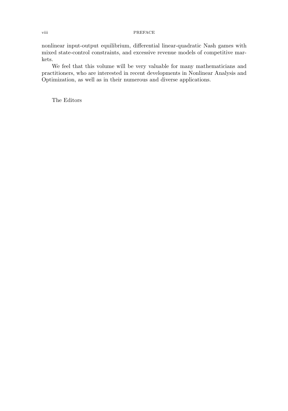#### viii PREFACE

nonlinear input-output equilibrium, differential linear-quadratic Nash games with mixed state-control constraints, and excessive revenue models of competitive markets.

We feel that this volume will be very valuable for many mathematicians and practitioners, who are interested in recent developments in Nonlinear Analysis and Optimization, as well as in their numerous and diverse applications.

The Editors